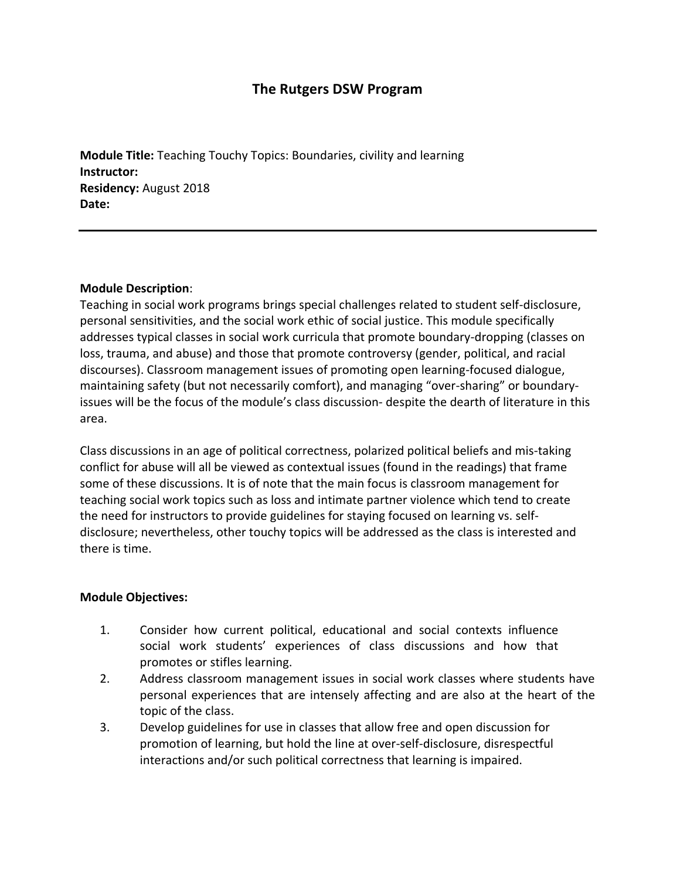# **The Rutgers DSW Program**

**Module Title:** Teaching Touchy Topics: Boundaries, civility and learning **Instructor: Residency:** August 2018 **Date:**

#### **Module Description**:

Teaching in social work programs brings special challenges related to student self-disclosure, personal sensitivities, and the social work ethic of social justice. This module specifically addresses typical classes in social work curricula that promote boundary-dropping (classes on loss, trauma, and abuse) and those that promote controversy (gender, political, and racial discourses). Classroom management issues of promoting open learning-focused dialogue, maintaining safety (but not necessarily comfort), and managing "over-sharing" or boundaryissues will be the focus of the module's class discussion- despite the dearth of literature in this area.

Class discussions in an age of political correctness, polarized political beliefs and mis-taking conflict for abuse will all be viewed as contextual issues (found in the readings) that frame some of these discussions. It is of note that the main focus is classroom management for teaching social work topics such as loss and intimate partner violence which tend to create the need for instructors to provide guidelines for staying focused on learning vs. selfdisclosure; nevertheless, other touchy topics will be addressed as the class is interested and there is time.

#### **Module Objectives:**

- 1. Consider how current political, educational and social contexts influence social work students' experiences of class discussions and how that promotes or stifles learning.
- 2. Address classroom management issues in social work classes where students have personal experiences that are intensely affecting and are also at the heart of the topic of the class.
- 3. Develop guidelines for use in classes that allow free and open discussion for promotion of learning, but hold the line at over-self-disclosure, disrespectful interactions and/or such political correctness that learning is impaired.